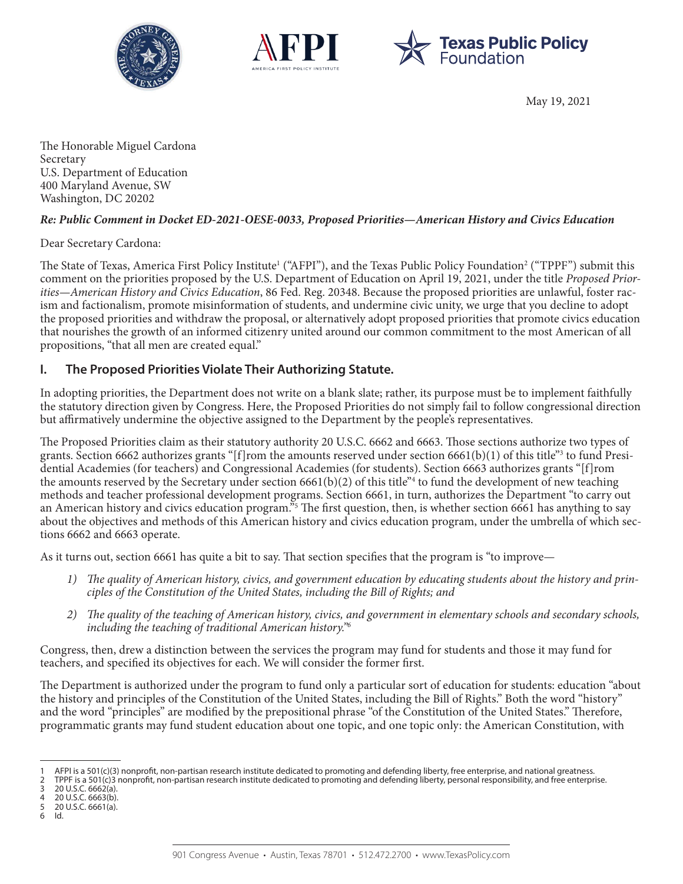





May 19, 2021

The Honorable Miguel Cardona Secretary U.S. Department of Education 400 Maryland Avenue, SW Washington, DC 20202

## *Re: Public Comment in Docket ED-2021-OESE-0033, Proposed Priorities—American History and Civics Education*

Dear Secretary Cardona:

The State of Texas, America First Policy Institute<sup>1</sup> ("AFPI"), and the Texas Public Policy Foundation<sup>2</sup> ("TPPF") submit this comment on the priorities proposed by the U.S. Department of Education on April 19, 2021, under the title *Proposed Priorities—American History and Civics Education*, 86 Fed. Reg. 20348. Because the proposed priorities are unlawful, foster racism and factionalism, promote misinformation of students, and undermine civic unity, we urge that you decline to adopt the proposed priorities and withdraw the proposal, or alternatively adopt proposed priorities that promote civics education that nourishes the growth of an informed citizenry united around our common commitment to the most American of all propositions, "that all men are created equal."

# **I. The Proposed Priorities Violate Their Authorizing Statute.**

In adopting priorities, the Department does not write on a blank slate; rather, its purpose must be to implement faithfully the statutory direction given by Congress. Here, the Proposed Priorities do not simply fail to follow congressional direction but affirmatively undermine the objective assigned to the Department by the people's representatives.

The Proposed Priorities claim as their statutory authority 20 U.S.C. 6662 and 6663. Those sections authorize two types of grants. Section 6662 authorizes grants "[f]rom the amounts reserved under section 6661(b)(1) of this title"<sup>3</sup> to fund Presidential Academies (for teachers) and Congressional Academies (for students). Section 6663 authorizes grants "[f]rom the amounts reserved by the Secretary under section 6661(b)(2) of this title"<sup>4</sup> to fund the development of new teaching methods and teacher professional development programs. Section 6661, in turn, authorizes the Department "to carry out an American history and civics education program."<sup>5</sup> The first question, then, is whether section 6661 has anything to say about the objectives and methods of this American history and civics education program, under the umbrella of which sections 6662 and 6663 operate.

As it turns out, section 6661 has quite a bit to say. That section specifies that the program is "to improve—

- *1) The quality of American history, civics, and government education by educating students about the history and principles of the Constitution of the United States, including the Bill of Rights; and*
- *2) The quality of the teaching of American history, civics, and government in elementary schools and secondary schools, including the teaching of traditional American history."6*

Congress, then, drew a distinction between the services the program may fund for students and those it may fund for teachers, and specified its objectives for each. We will consider the former first.

The Department is authorized under the program to fund only a particular sort of education for students: education "about the history and principles of the Constitution of the United States, including the Bill of Rights." Both the word "history" and the word "principles" are modified by the prepositional phrase "of the Constitution of the United States." Therefore, programmatic grants may fund student education about one topic, and one topic only: the American Constitution, with

3 20 U.S.C. 6662(a).<br>4 20 U.S.C. 6663(b).

5 20 U.S.C. 6661(a).

AFPI is a 501(c)(3) nonprofit, non-partisan research institute dedicated to promoting and defending liberty, free enterprise, and national greatness.

<sup>2</sup> TPPF is a 501(c)3 nonprofit, non-partisan research institute dedicated to promoting and defending liberty, personal responsibility, and free enterprise.

<sup>4 20</sup> U.S.C. 6663(b).<br>5 20 U.S.C. 6661(a).

<sup>6</sup> Id.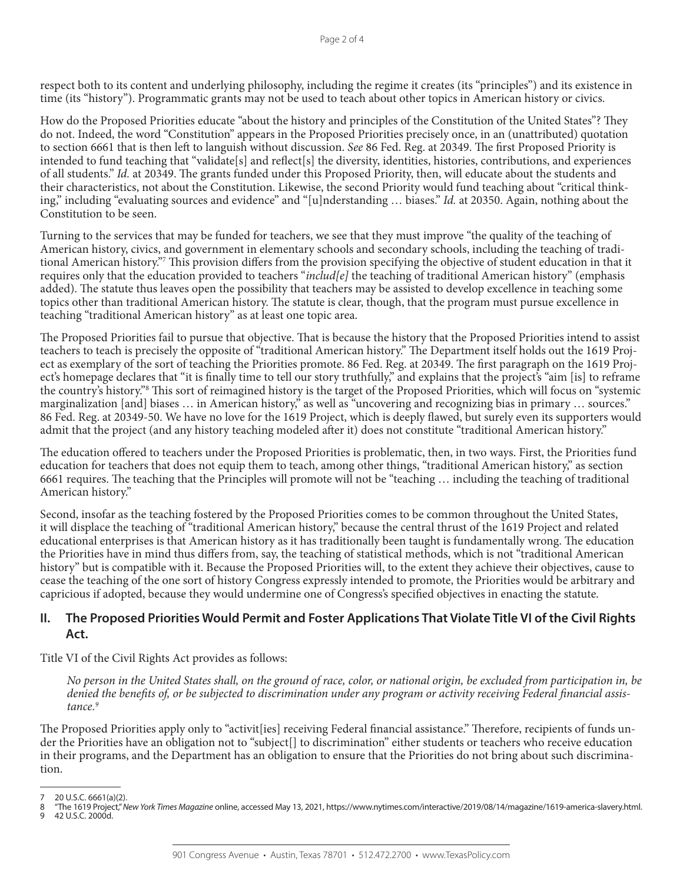respect both to its content and underlying philosophy, including the regime it creates (its "principles") and its existence in time (its "history"). Programmatic grants may not be used to teach about other topics in American history or civics.

How do the Proposed Priorities educate "about the history and principles of the Constitution of the United States"? They do not. Indeed, the word "Constitution" appears in the Proposed Priorities precisely once, in an (unattributed) quotation to section 6661 that is then left to languish without discussion. *See* 86 Fed. Reg. at 20349. The first Proposed Priority is intended to fund teaching that "validate[s] and reflect[s] the diversity, identities, histories, contributions, and experiences of all students." *Id.* at 20349. The grants funded under this Proposed Priority, then, will educate about the students and their characteristics, not about the Constitution. Likewise, the second Priority would fund teaching about "critical thinking," including "evaluating sources and evidence" and "[u]nderstanding … biases." *Id.* at 20350. Again, nothing about the Constitution to be seen.

Turning to the services that may be funded for teachers, we see that they must improve "the quality of the teaching of American history, civics, and government in elementary schools and secondary schools, including the teaching of traditional American history."7 This provision differs from the provision specifying the objective of student education in that it requires only that the education provided to teachers "*includ[e]* the teaching of traditional American history" (emphasis added). The statute thus leaves open the possibility that teachers may be assisted to develop excellence in teaching some topics other than traditional American history. The statute is clear, though, that the program must pursue excellence in teaching "traditional American history" as at least one topic area.

The Proposed Priorities fail to pursue that objective. That is because the history that the Proposed Priorities intend to assist teachers to teach is precisely the opposite of "traditional American history." The Department itself holds out the 1619 Project as exemplary of the sort of teaching the Priorities promote. 86 Fed. Reg. at 20349. The first paragraph on the 1619 Project's homepage declares that "it is finally time to tell our story truthfully," and explains that the project's "aim [is] to reframe the country's history."8 This sort of reimagined history is the target of the Proposed Priorities, which will focus on "systemic marginalization [and] biases ... in American history," as well as "uncovering and recognizing bias in primary ... sources." 86 Fed. Reg. at 20349-50. We have no love for the 1619 Project, which is deeply flawed, but surely even its supporters would admit that the project (and any history teaching modeled after it) does not constitute "traditional American history."

The education offered to teachers under the Proposed Priorities is problematic, then, in two ways. First, the Priorities fund education for teachers that does not equip them to teach, among other things, "traditional American history," as section 6661 requires. The teaching that the Principles will promote will not be "teaching … including the teaching of traditional American history."

Second, insofar as the teaching fostered by the Proposed Priorities comes to be common throughout the United States, it will displace the teaching of "traditional American history," because the central thrust of the 1619 Project and related educational enterprises is that American history as it has traditionally been taught is fundamentally wrong. The education the Priorities have in mind thus differs from, say, the teaching of statistical methods, which is not "traditional American history" but is compatible with it. Because the Proposed Priorities will, to the extent they achieve their objectives, cause to cease the teaching of the one sort of history Congress expressly intended to promote, the Priorities would be arbitrary and capricious if adopted, because they would undermine one of Congress's specified objectives in enacting the statute.

# **II. The Proposed Priorities Would Permit and Foster Applications That Violate Title VI of the Civil Rights Act.**

Title VI of the Civil Rights Act provides as follows:

*No person in the United States shall, on the ground of race, color, or national origin, be excluded from participation in, be denied the benefits of, or be subjected to discrimination under any program or activity receiving Federal financial assistance.9*

The Proposed Priorities apply only to "activit[ies] receiving Federal financial assistance." Therefore, recipients of funds under the Priorities have an obligation not to "subject[] to discrimination" either students or teachers who receive education in their programs, and the Department has an obligation to ensure that the Priorities do not bring about such discrimination.

<sup>7</sup> 20 U.S.C. 6661(a)(2). 8 "The 1619 Project," *New York Times Magazine* online, accessed May 13, 2021, https://www.nytimes.com/interactive/2019/08/14/magazine/1619-america-slavery.html. 42 U.S.C. 2000d.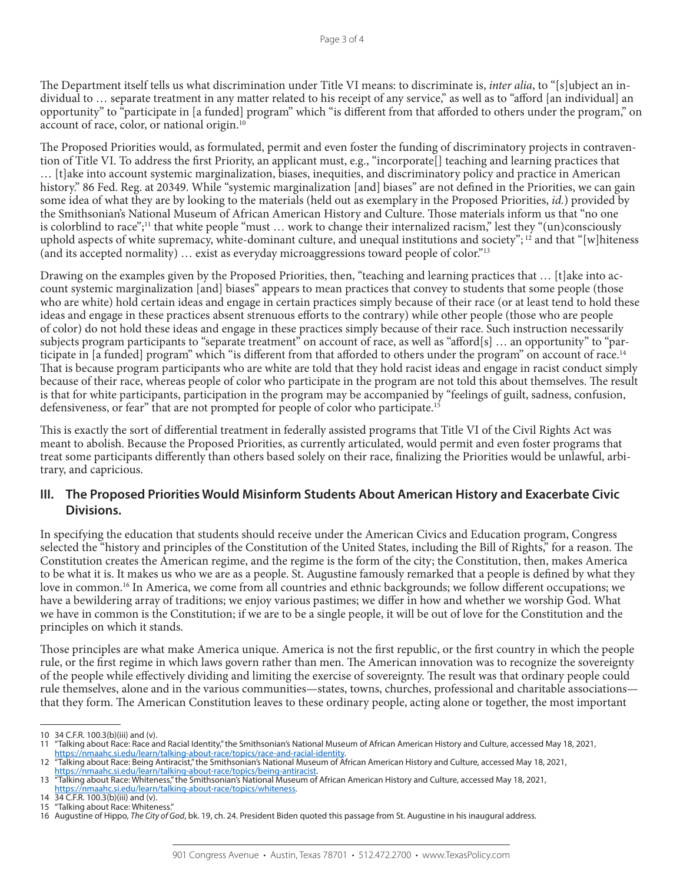The Department itself tells us what discrimination under Title VI means: to discriminate is, *inter alia*, to "[s]ubject an individual to … separate treatment in any matter related to his receipt of any service," as well as to "afford [an individual] an opportunity" to "participate in [a funded] program" which "is different from that afforded to others under the program," on account of race, color, or national origin.<sup>10</sup>

The Proposed Priorities would, as formulated, permit and even foster the funding of discriminatory projects in contravention of Title VI. To address the first Priority, an applicant must, e.g., "incorporate[] teaching and learning practices that … [t]ake into account systemic marginalization, biases, inequities, and discriminatory policy and practice in American history." 86 Fed. Reg. at 20349. While "systemic marginalization [and] biases" are not defined in the Priorities, we can gain some idea of what they are by looking to the materials (held out as exemplary in the Proposed Priorities, *id.*) provided by the Smithsonian's National Museum of African American History and Culture. Those materials inform us that "no one is colorblind to race";<sup>11</sup> that white people "must ... work to change their internalized racism," lest they "(un)consciously uphold aspects of white supremacy, white-dominant culture, and unequal institutions and society";  $^{12}$  and that "[w]hiteness (and its accepted normality) … exist as everyday microaggressions toward people of color."13

Drawing on the examples given by the Proposed Priorities, then, "teaching and learning practices that ... [t]ake into account systemic marginalization [and] biases" appears to mean practices that convey to students that some people (those who are white) hold certain ideas and engage in certain practices simply because of their race (or at least tend to hold these ideas and engage in these practices absent strenuous efforts to the contrary) while other people (those who are people of color) do not hold these ideas and engage in these practices simply because of their race. Such instruction necessarily subjects program participants to "separate treatment" on account of race, as well as "afford[s] … an opportunity" to "participate in [a funded] program" which "is different from that afforded to others under the program" on account of race.<sup>14</sup> That is because program participants who are white are told that they hold racist ideas and engage in racist conduct simply because of their race, whereas people of color who participate in the program are not told this about themselves. The result is that for white participants, participation in the program may be accompanied by "feelings of guilt, sadness, confusion, defensiveness, or fear" that are not prompted for people of color who participate.15

This is exactly the sort of differential treatment in federally assisted programs that Title VI of the Civil Rights Act was meant to abolish. Because the Proposed Priorities, as currently articulated, would permit and even foster programs that treat some participants differently than others based solely on their race, finalizing the Priorities would be unlawful, arbitrary, and capricious.

## **III. The Proposed Priorities Would Misinform Students About American History and Exacerbate Civic Divisions.**

In specifying the education that students should receive under the American Civics and Education program, Congress selected the "history and principles of the Constitution of the United States, including the Bill of Rights," for a reason. The Constitution creates the American regime, and the regime is the form of the city; the Constitution, then, makes America to be what it is. It makes us who we are as a people. St. Augustine famously remarked that a people is defined by what they love in common.<sup>16</sup> In America, we come from all countries and ethnic backgrounds; we follow different occupations; we have a bewildering array of traditions; we enjoy various pastimes; we differ in how and whether we worship God. What we have in common is the Constitution; if we are to be a single people, it will be out of love for the Constitution and the principles on which it stands.

Those principles are what make America unique. America is not the first republic, or the first country in which the people rule, or the first regime in which laws govern rather than men. The American innovation was to recognize the sovereignty of the people while effectively dividing and limiting the exercise of sovereignty. The result was that ordinary people could rule themselves, alone and in the various communities—states, towns, churches, professional and charitable associations that they form. The American Constitution leaves to these ordinary people, acting alone or together, the most important

<sup>10</sup> 34 C.F.R. 100.3(b)(iii) and (v).

<sup>11</sup> "Talking about Race: Race and Racial Identity," the Smithsonian's National Museum of African American History and Culture, accessed May 18, 2021,

[https://nmaahc.si.edu/learn/talking-about-race/topics/race-and-racial-identity.](https://nmaahc.si.edu/learn/talking-about-race/topics/race-and-racial-identity)

<sup>12</sup> "Talking about Race: Being Antiracist," the Smithsonian's National Museum of African American History and Culture, accessed May 18, 2021, [https://nmaahc.si.edu/learn/talking-about-race/topics/being-antiracist.](https://nmaahc.si.edu/learn/talking-about-race/topics/being-antiracist)

<sup>13</sup> "Talking about Race: Whiteness," the Smithsonian's National Museum of African American History and Culture, accessed May 18, 2021, [https://nmaahc.si.edu/learn/talking-about-race/topics/whiteness.](https://nmaahc.si.edu/learn/talking-about-race/topics/whiteness)

<sup>14</sup> 34 C.F.R. 100.3(b)(iii) and (v).

<sup>15</sup> "Talking about Race: Whiteness."

<sup>16</sup> Augustine of Hippo, *The City of God*, bk. 19, ch. 24. President Biden quoted this passage from St. Augustine in his inaugural address.